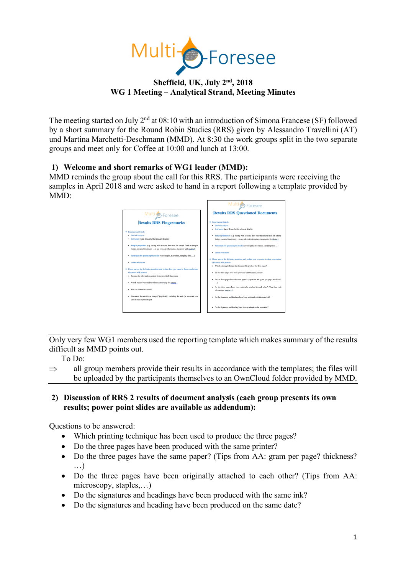

#### **Sheffield, UK, July 2nd, 2018 WG 1 Meeting – Analytical Strand, Meeting Minutes**

The meeting started on July 2<sup>nd</sup> at 08:10 with an introduction of Simona Francese (SF) followed by a short summary for the Round Robin Studies (RRS) given by Alessandro Travellini (AT) und Martina Marchetti-Deschmann (MMD). At 8:30 the work groups split in the two separate groups and meet only for Coffee at 10:00 and lunch at 13:00.

## **1) Welcome and short remarks of WG1 leader (MMD):**

MMD reminds the group about the call for this RRS. The participants were receiving the samples in April 2018 and were asked to hand in a report following a template provided by MMD:



Only very few WG1 members used the reporting template which makes summary of the results difficult as MMD points out.

To Do:

 $\Rightarrow$  all group members provide their results in accordance with the templates; the files will be uploaded by the participants themselves to an OwnCloud folder provided by MMD.

### **2) Discussion of RRS 2 results of document analysis (each group presents its own results; power point slides are available as addendum):**

Questions to be answered:

- Which printing technique has been used to produce the three pages?
- Do the three pages have been produced with the same printer?
- Do the three pages have the same paper? (Tips from AA: gram per page? thickness? …)
- Do the three pages have been originally attached to each other? (Tips from AA: microscopy, staples,…)
- Do the signatures and headings have been produced with the same ink?
- Do the signatures and heading have been produced on the same date?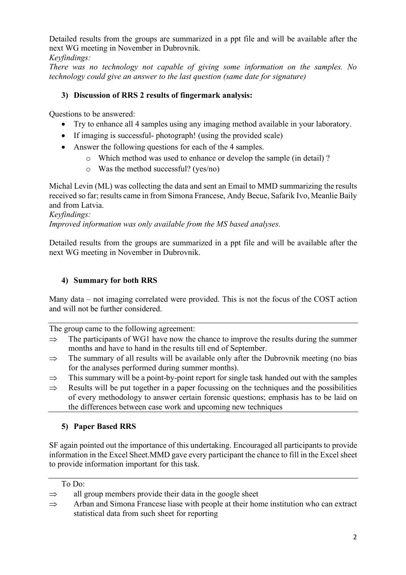Detailed results from the groups are summarized in a ppt file and will be available after the next WG meeting in November in Dubrovnik.

*Keyfindings:*

*There was no technology not capable of giving some information on the samples. No technology could give an answer to the last question (same date for signature)*

# **3) Discussion of RRS 2 results of fingermark analysis:**

Questions to be answered:

- Try to enhance all 4 samples using any imaging method available in your laboratory.
- If imaging is successful- photograph! (using the provided scale)
- Answer the following questions for each of the 4 samples.
	- o Which method was used to enhance or develop the sample (in detail) ?
	- o Was the method successful? (yes/no)

Michal Levin (ML) was collecting the data and sent an Email to MMD summarizing the results received so far; results came in from Simona Francese, Andy Becue, Safarik Ivo, Meanlie Baily and from Latvia.

*Keyfindings:*

*Improved information was only available from the MS based analyses.*

Detailed results from the groups are summarized in a ppt file and will be available after the next WG meeting in November in Dubrovnik.

## **4) Summary for both RRS**

Many data – not imaging correlated were provided. This is not the focus of the COST action and will not be further considered.

The group came to the following agreement:

- $\Rightarrow$  The participants of WG1 have now the chance to improve the results during the summer months and have to hand in the results till end of September.
- $\Rightarrow$  The summary of all results will be available only after the Dubrovnik meeting (no bias for the analyses performed during summer months).
- $\Rightarrow$  This summary will be a point-by-point report for single task handed out with the samples
- $\Rightarrow$  Results will be put together in a paper focussing on the techniques and the possibilities of every methodology to answer certain forensic questions; emphasis has to be laid on the differences between case work and upcoming new techniques

# **5) Paper Based RRS**

SF again pointed out the importance of this undertaking. Encouraged all participants to provide information in the Excel Sheet.MMD gave every participant the chance to fill in the Excel sheet to provide information important for this task.

To Do:

- $\Rightarrow$  all group members provide their data in the google sheet
- $\Rightarrow$  Arban and Simona Francese liase with people at their home institution who can extract statistical data from such sheet for reporting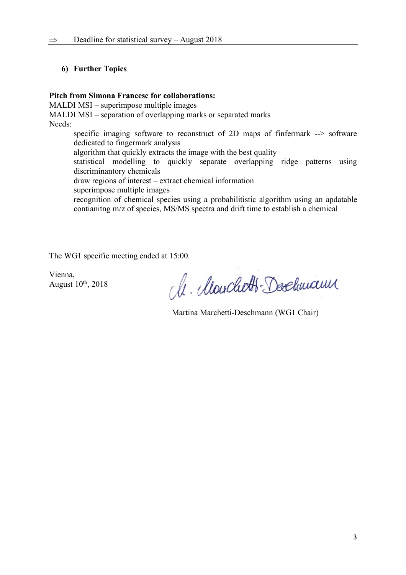#### **6) Further Topics**

#### **Pitch from Simona Francese for collaborations:**

MALDI MSI – superimpose multiple images

MALDI MSI – separation of overlapping marks or separated marks

Needs:

specific imaging software to reconstruct of 2D maps of finfermark --> software dedicated to fingermark analysis

algorithm that quickly extracts the image with the best quality

statistical modelling to quickly separate overlapping ridge patterns using discriminantory chemicals

draw regions of interest – extract chemical information

superimpose multiple images

recognition of chemical species using a probabilitistic algorithm using an apdatable contianitng m/z of species, MS/MS spectra and drift time to establish a chemical

The WG1 specific meeting ended at 15:00.

Vienna, August  $10^{th}$ ,  $2018$ 

Al Mourchett Develwam

Martina Marchetti-Deschmann (WG1 Chair)